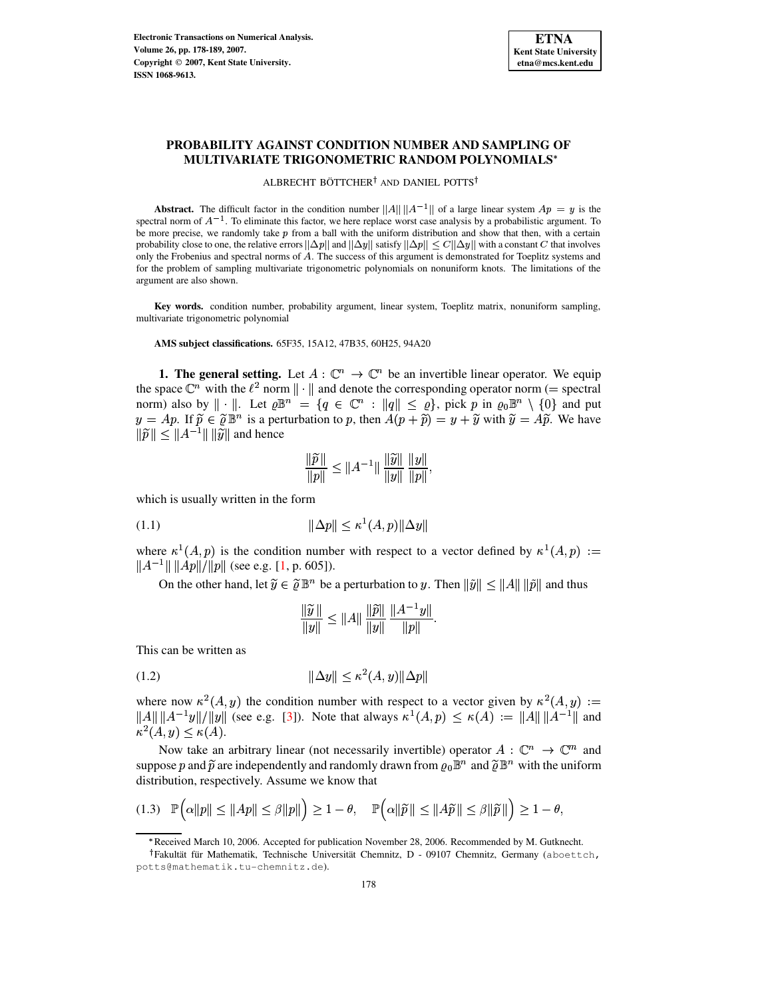

# **PROBABILITY AGAINST CONDITION NUMBER AND SAMPLING OF MULTIVARIATE TRIGONOMETRIC RANDOM POLYNOMIALS**

ALBRECHT BÖTTCHER<sup>†</sup> AND DANIEL POTTS<sup>†</sup>

**Abstract.** The difficult factor in the condition number  $||A|| ||A^{-1}||$  of a large linear system  $Ap = y$  is the spectral norm of  $A^{-1}$ . To eliminate this factor, we here replace worst case analysis by a probabilistic argument. To be more precise, we randomly take  $p$  from a ball with the uniform distribution and show that then, with a certain probability close to one, the relative errors  $\|\Delta p\|$  and  $\|\Delta y\|$  satisfy  $\|\Delta p\| \leq C \|\Delta y\|$  with a constant  $C$  that involves only the Frobenius and spectral norms of A. The success of this argument is demonstrated for Toeplitz systems and for the problem of sampling multivariate trigonometric polynomials on nonuniform knots. The limitations of the argument are also shown.

**Key words.** condition number, probability argument, linear system, Toeplitz matrix, nonuniform sampling, multivariate trigonometric polynomial

**AMS subject classifications.** 65F35, 15A12, 47B35, 60H25, 94A20

**1. The general setting.** Let  $A : \mathbb{C}^n \to \mathbb{C}^n$  be an invertible linear operator. We equip the space  $\mathbb{C}^n$  with the  $\ell^2$  norm  $\|\cdot\|$  and denote the corresponding operator norm (= spectral norm) also by  $\|\cdot\|$ . Let  $\varrho \mathbb{B}^n = \{q \in \mathbb{C}^n : \|q\| \leq \varrho\}$ , pick p in  $\varrho_0 \mathbb{B}^n \setminus \{0\}$  and put  $y = Ap$ . If  $\widetilde{p} \in \widetilde{\varrho} \mathbb{B}^n$  is a perturbation to p, then  $A(p + \widetilde{p}) = y + \widetilde{y}$  with  $\widetilde{y} = A\widetilde{p}$ . We have  $\|\widetilde{p}\| \leq \|A^{-1}\| \, \|\widetilde{y}\|$  and hence

$$
\frac{\|\widetilde{p}\|}{\|p\|} \le \|A^{-1}\| \frac{\|\widetilde{y}\|}{\|y\|} \frac{\|y\|}{\|p\|},
$$

which is usually written in the form

<span id="page-0-0"></span>
$$
||\Delta p|| \le \kappa^1(A, p) ||\Delta y||
$$

where  $\kappa^1(A, p)$  is the condition number with respect to a vector defined by  $\kappa^1(A, p) :=$  $||A^{-1}|| ||Ap|| / ||p||$  (see e.g. [\[1,](#page-11-0) p. 605]).

On the other hand, let  $\widetilde{y} \in \widetilde{\varrho} \mathbb{B}^n$  be a perturbation to y. Then  $\|\widetilde{y}\| \le \|A\| \|\widetilde{p}\|$  and thus

$$
\frac{\|\widetilde{y}\|}{\|y\|} \le \|A\| \frac{\|\widetilde{p}\|}{\|y\|} \frac{\|A^{-1}y\|}{\|p\|}.
$$

This can be written as

<span id="page-0-1"></span>
$$
||\Delta y|| \le \kappa^2(A, y) ||\Delta p||
$$

where now  $\kappa^2(A, y)$  the condition number with respect to a vector given by  $\kappa^2(A, y) :=$  $\|A\| \|A^{-1}y\| / \|y\|$  (see e.g. [\[3\]](#page-11-1)). Note that always  $\kappa^1(A, p) \leq \kappa(A) := \|A\| \|A^{-1}\|$  and  $\kappa^2(A, y) \leq \kappa(A).$ 

Now take an arbitrary linear (not necessarily invertible) operator  $A: \mathbb{C}^n \to \mathbb{C}^m$  and suppose p and  $\tilde{p}$  are independently and randomly drawn from  $\rho_0 \mathbb{B}^n$  and  $\tilde{\rho} \mathbb{B}^n$  with the uniform distribution, respectively. Assume we know that

<span id="page-0-2"></span>
$$
(1.3) \quad \mathbb{P}\Big(\alpha\|p\| \le \|Ap\| \le \beta\|p\|\Big) \ge 1-\theta, \quad \mathbb{P}\Big(\alpha\|\widetilde{p}\| \le \|A\widetilde{p}\| \le \beta\|\widetilde{p}\|\Big) \ge 1-\theta,
$$

<sup>\*</sup> Received March 10, 2006. Accepted for publication November 28, 2006. Recommended by M. Gutknecht.

<sup>&</sup>lt;sup>†</sup>Fakultät für Mathematik, Technische Universität Chemnitz, D - 09107 Chemnitz, Germany (aboettch, potts@mathematik.tu-chemnitz.de).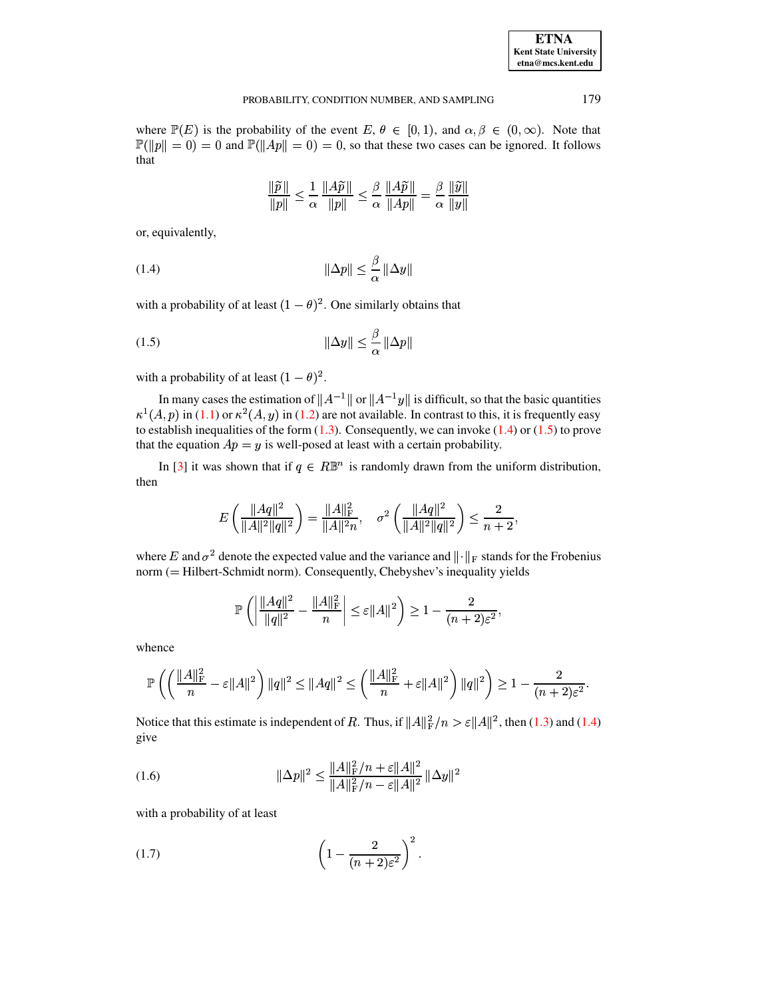| <b>ETNA</b>                  |
|------------------------------|
| <b>Kent State University</b> |
| etna@mcs.kent.edu            |

## PROBABILITY, CONDITION NUMBER, AND SAMPLING 179

where  $\mathbb{P}(E)$  is the probability of the event  $E, \theta \in [0, 1)$ , and  $\alpha, \beta \in (0, \infty)$ . Note that  $\mathbb{P}(\|p\| = 0) = 0$  and  $\mathbb{P}(\|Ap\| = 0) = 0$ , so that these two cases can be ignored. It follows that

<span id="page-1-0"></span>
$$
\frac{\|\widetilde{p}\|}{\|p\|} \le \frac{1}{\alpha} \frac{\|A\widetilde{p}\|}{\|p\|} \le \frac{\beta}{\alpha} \frac{\|A\widetilde{p}\|}{\|Ap\|} = \frac{\beta}{\alpha} \frac{\|\widetilde{y}\|}{\|y\|}
$$

or, equivalently,

$$
\|\Delta p\| \le \frac{\beta}{\alpha} \|\Delta y\|
$$

with a probability of at least  $(1 - \theta)^2$ . One similarly obtains that

<span id="page-1-1"></span>
$$
\|\Delta y\| \le \frac{\beta}{\alpha} \|\Delta p\|
$$

with a probability of at least  $(1 - \theta)^2$ .

In many cases the estimation of  $||A^{-1}||$  or  $||A^{-1}y||$  is difficult, so that the basic quantities  $\kappa^1(A, p)$  in [\(1.1\)](#page-0-0) or  $\kappa^2(A, y)$  in [\(1.2\)](#page-0-1) are not available. In contrast to this, it is frequently easy to establish inequalities of the form [\(1.3\)](#page-0-2). Consequently, we can invoke [\(1.4\)](#page-1-0) or [\(1.5\)](#page-1-1) to prove that the equation  $Ap = y$  is well-posed at least with a certain probability.

In [\[3\]](#page-11-1) it was shown that if  $q \in \mathbb{R}^{\mathbb{R}^n}$  is randomly drawn from the uniform distribution, then

$$
E\left(\frac{\|Aq\|^2}{\|A\|^2\|q\|^2}\right) = \frac{\|A\|_{\rm F}^2}{\|A\|^2 n}, \quad \sigma^2\left(\frac{\|Aq\|^2}{\|A\|^2\|q\|^2}\right) \le \frac{2}{n+2},
$$

where E and  $\sigma^2$  denote the expected value and the variance and  $\|\cdot\|_F$  stands for the Frobenius norm (= Hilbert-Schmidt norm). Consequently, Chebyshev's inequality yields

$$
\mathbb{P}\left(\left|\frac{\|Aq\|^2}{\|q\|^2} - \frac{\|A\|_{\text{F}}^2}{n}\right| \leq \varepsilon \|A\|^2\right) \geq 1 - \frac{2}{(n+2)\varepsilon^2},
$$

whence

$$
\mathbb{P}\left(\left(\frac{\|A\|_{\mathrm{F}}^2}{n}-\varepsilon\|A\|^2\right)\|q\|^2\leq\|Aq\|^2\leq\left(\frac{\|A\|_{\mathrm{F}}^2}{n}+\varepsilon\|A\|^2\right)\|q\|^2\right)\geq 1-\frac{2}{(n+2)\varepsilon^2}.
$$

Notice that this estimate is independent of R. Thus, if  $||A||_F^2/n > \varepsilon ||A||^2$ , then [\(1.3\)](#page-0-2) and [\(1.4\)](#page-1-0) give

<span id="page-1-2"></span>(1.6) 
$$
\|\Delta p\|^2 \le \frac{\|A\|_{\mathrm{F}}^2/n + \varepsilon \|A\|^2}{\|A\|_{\mathrm{F}}^2/n - \varepsilon \|A\|^2} \|\Delta y\|^2
$$

with a probability of at least

<span id="page-1-3"></span>
$$
(1.7)\qquad \qquad \left(1-\frac{2}{(n+2)\varepsilon^2}\right)^2.
$$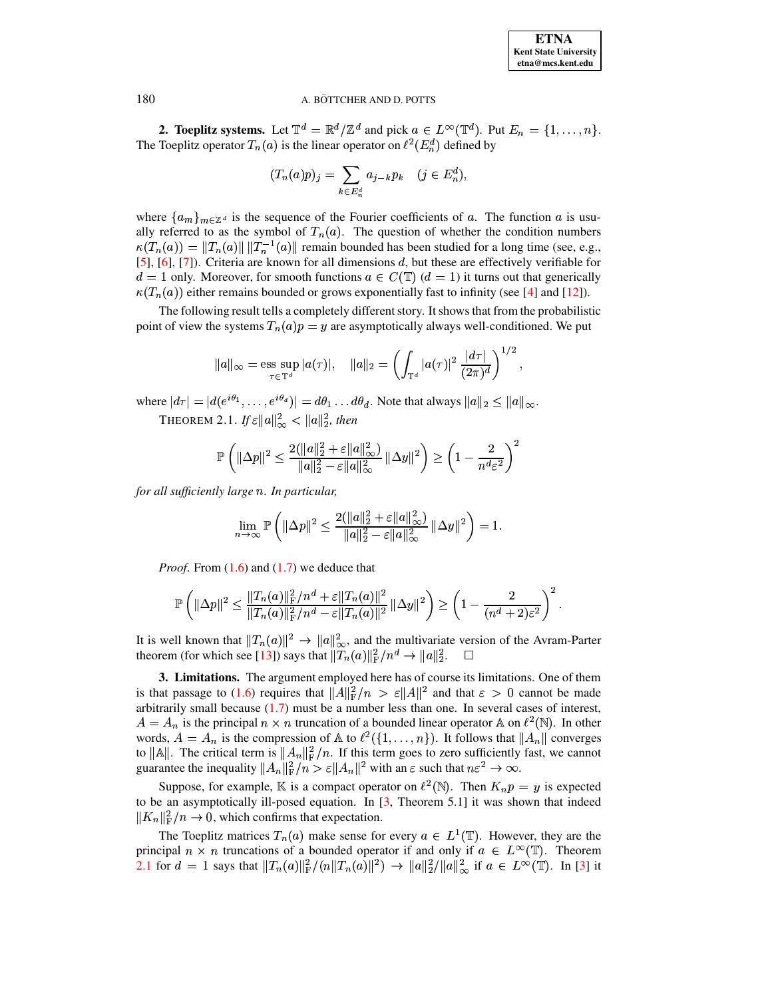

 $\overline{2}$ 

#### A. BÖTTCHER AND D. POTTS

**2. Toeplitz systems.** Let  $\mathbb{T}^d = \mathbb{R}^d / \mathbb{Z}^d$  and pick  $a \in L^{\infty}(\mathbb{T}^d)$ . Put  $E_n = \{1, ..., n\}$ . The Toeplitz operator  $T_n(a)$  is the linear operator on  $\ell^2(E_n^d)$  defined by

$$
(T_n(a)p)_j = \sum_{k \in E_n^d} a_{j-k} p_k \quad (j \in E_n^d)
$$

where  $\{a_m\}_{m\in\mathbb{Z}^d}$  is the sequence of the Fourier coefficients of a. The function a is usually referred to as the symbol of  $T_n(a)$ . The question of whether the condition numbers  $\kappa(T_n(a)) = ||T_n(a)|| ||T_n^{-1}(a)||$  remain bounded has been studied for a long time (see, e.g., [5], [6], [7]). Criteria are known for all dimensions  $d$ , but these are effectively verifiable for  $d = 1$  only. Moreover, for smooth functions  $a \in C(\mathbb{T})$   $(d = 1)$  it turns out that generically  $\kappa(T_n(a))$  either remains bounded or grows exponentially fast to infinity (see [4] and [12]).

The following result tells a completely different story. It shows that from the probabilistic point of view the systems  $T_n(a)p = y$  are asymptotically always well-conditioned. We put

$$
||a||_{\infty} = \operatorname*{ess\;sup}_{\tau \in \mathbb{T}^d} |a(\tau)|, \quad ||a||_2 = \left(\int_{\mathbb{T}^d} |a(\tau)|^2 \, \frac{|d\tau|}{(2\pi)^d}\right)^{1/2},
$$

<span id="page-2-0"></span>where  $|d\tau| = |d(e^{i\theta_1}, \dots, e^{i\theta_d})| = d\theta_1 \dots d\theta_d$ . Note that always  $||a||_2 \le ||a||_{\infty}$ . THEOREM 2.1. If  $\varepsilon ||a||_{\infty}^2 < ||a||_2^2$ , then

$$
\mathbb{P}\left(\|\Delta p\|^2 \leq \frac{2(\|a\|_2^2+\varepsilon\|a\|_\infty^2)}{\|a\|_2^2-\varepsilon\|a\|_\infty^2}\left\|\Delta y\right\|^2\right) \geq \left(1-\frac{2}{n^d\varepsilon^2}\right)
$$

for all sufficiently large n. In particular,

$$
\lim_{n\to\infty} \mathbb{P}\left(\|\Delta p\|^2 \leq \frac{2(\|a\|_2^2 + \varepsilon \|a\|_{\infty}^2)}{\|a\|_2^2 - \varepsilon \|a\|_{\infty}^2} \|\Delta y\|^2\right) = 1.
$$

*Proof.* From  $(1.6)$  and  $(1.7)$  we deduce that

$$
\mathbb{P}\left(\|\Delta p\|^2 \leq \frac{\|T_n(a)\|_{\mathbb{F}}^2/n^d + \varepsilon \|T_n(a)\|^2}{\|T_n(a)\|_{\mathbb{F}}^2/n^d - \varepsilon \|T_n(a)\|^2}\|\Delta y\|^2\right) \geq \left(1 - \frac{2}{(n^d+2)\varepsilon^2}\right)^2.
$$

It is well known that  $||T_n(a)||^2 \to ||a||_{\infty}^2$ , and the multivariate version of the Avram-Parter theorem (for which see [13]) says that  $||T_n(a)||_F^2/n^d \to ||a||_2^2$ .  $\Box$ 

<span id="page-2-1"></span>3. Limitations. The argument employed here has of course its limitations. One of them is that passage to (1.6) requires that  $||A||_F^2/n > \varepsilon ||A||^2$  and that  $\varepsilon > 0$  cannot be made arbitrarily small because  $(1.7)$  must be a number less than one. In several cases of interest,  $A = A_n$  is the principal  $n \times n$  truncation of a bounded linear operator A on  $\ell^2(\mathbb{N})$ . In other words,  $A = A_n$  is the compression of A to  $\ell^2({1,\ldots,n})$ . It follows that  $||A_n||$  converges to  $\|\mathbb{A}\|$ . The critical term is  $\|A_n\|_F^2/n$ . If this term goes to zero sufficiently fast, we cannot guarantee the inequality  $||A_n||_F^2/n > \varepsilon ||A_n||^2$  with an  $\varepsilon$  such that  $n\varepsilon^2 \to \infty$ .

Suppose, for example, K is a compact operator on  $\ell^2(\mathbb{N})$ . Then  $K_n p = y$  is expected to be an asymptotically ill-posed equation. In  $[3,$  Theorem 5.1] it was shown that indeed  $||K_n||_F^2/n \to 0$ , which confirms that expectation.

The Toeplitz matrices  $T_n(a)$  make sense for every  $a \in L^1(\mathbb{T})$ . However, they are the principal  $n \times n$  truncations of a bounded operator if and only if  $a \in L^{\infty}(\mathbb{T})$ . Theorem 2.1 for  $d = 1$  says that  $||T_n(a)||_F^2/(n||T_n(a)||^2) \rightarrow ||a||_2^2/||a||_\infty^2$  if  $a \in L^\infty(\mathbb{T})$ . In [3] it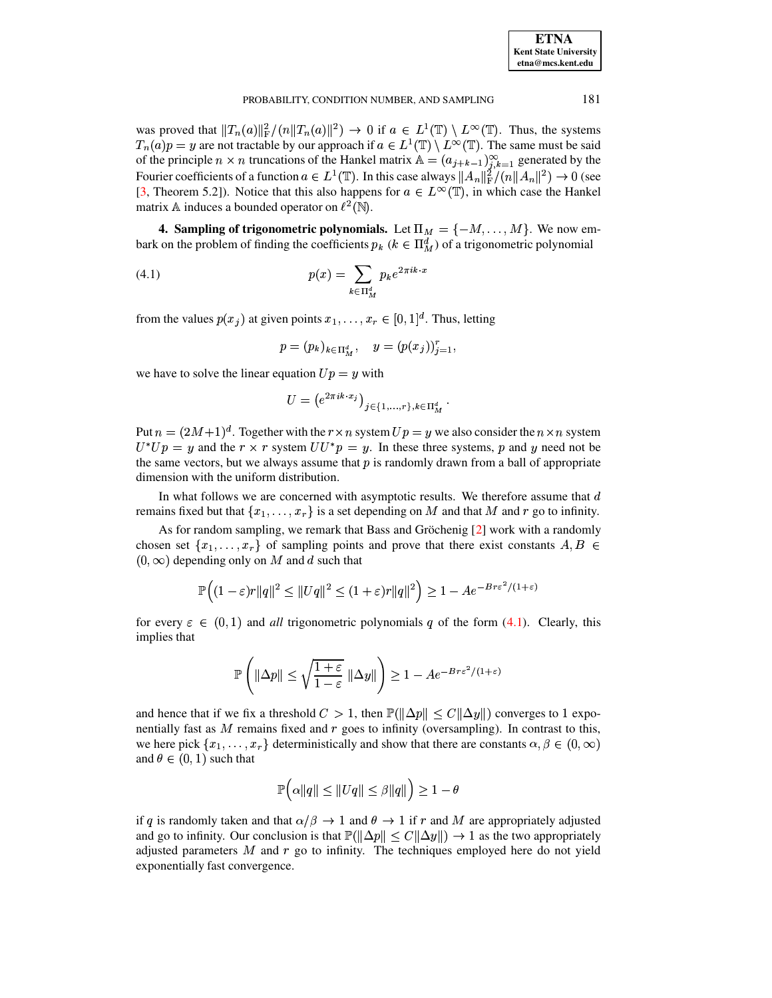was proved that  $||T_n(a)||_F^2/(n||T_n(a)||^2) \to 0$  if  $a \in L^1(\mathbb{T}) \setminus L^{\infty}(\mathbb{T})$ . Thus, the systems  $T_n(a)p = y$  are not tractable by our approach if  $a \in L^1(\mathbb{T}) \setminus L^{\infty}(\mathbb{T})$ . The same must be said of the principle  $n \times n$  truncations of the Hankel matrix  $\mathbb{A} = (a_{j+k-1})_{j,k=1}^{\infty}$  generated by the Fourier coefficients of a function  $a \in L^1(\mathbb{T})$ . In this case always  $||A_n||_F^2/(n||A_n||^2) \to 0$  (see [3, Theorem 5.2]). Notice that this also happens for  $a \in L^{\infty}(\mathbb{T})$ , in which case the Hankel matrix A induces a bounded operator on  $\ell^2(\mathbb{N})$ .

4. Sampling of trigonometric polynomials. Let  $\Pi_M = \{-M, \dots, M\}$ . We now embark on the problem of finding the coefficients  $p_k$  ( $k \in \Pi_M^d$ ) of a trigonometric polynomial

<span id="page-3-0"></span>
$$
(4.1)\qquad \qquad p(x) = \sum_{k \in \Pi_M^d} p_k e^{2\pi i k \cdot x}
$$

from the values  $p(x_i)$  at given points  $x_1, \ldots, x_r \in [0,1]^d$ . Thus, letting

$$
p = (p_k)_{k \in \Pi_M^d}, \quad y = (p(x_j))_{j=1}^r,
$$

we have to solve the linear equation  $Up = y$  with

$$
U = \left( e^{2\pi i k \cdot x_j} \right)_{j \in \{1, ..., r\}, k \in \Pi_M^d}.
$$

Put  $n = (2M+1)^d$ . Together with the  $r \times n$  system  $Up = y$  we also consider the  $n \times n$  system  $U^*Up = y$  and the  $r \times r$  system  $UU^*p = y$ . In these three systems, p and y need not be the same vectors, but we always assume that  $p$  is randomly drawn from a ball of appropriate dimension with the uniform distribution.

In what follows we are concerned with asymptotic results. We therefore assume that  $d$ remains fixed but that  $\{x_1, \ldots, x_r\}$  is a set depending on M and that M and r go to infinity.

As for random sampling, we remark that Bass and Gröchenig [2] work with a randomly chosen set  $\{x_1, \ldots, x_r\}$  of sampling points and prove that there exist constants  $A, B \in$  $(0, \infty)$  depending only on M and d such that

$$
\mathbb{P}\Big((1-\varepsilon)r\|q\|^2 \leq \|Uq\|^2 \leq (1+\varepsilon)r\|q\|^2\Big) \geq 1 - Ae^{-Br\varepsilon^2/(1+\varepsilon)}
$$

for every  $\varepsilon \in (0,1)$  and all trigonometric polynomials q of the form (4.1). Clearly, this implies that

$$
\mathbb{P}\left(\|\Delta p\| \le \sqrt{\frac{1+\varepsilon}{1-\varepsilon}} \|\Delta y\|\right) \ge 1 - Ae^{-Br\varepsilon^2/(1+\varepsilon)}
$$

and hence that if we fix a threshold  $C > 1$ , then  $\mathbb{P}(\|\Delta p\| < C \|\Delta y\|)$  converges to 1 exponentially fast as  $M$  remains fixed and  $r$  goes to infinity (oversampling). In contrast to this, we here pick  $\{x_1, \ldots, x_r\}$  deterministically and show that there are constants  $\alpha, \beta \in (0, \infty)$ and  $\theta \in (0, 1)$  such that

$$
\mathbb{P}\Big(\alpha\|q\| \le \|Uq\| \le \beta\|q\|\Big) \ge 1-\theta
$$

if q is randomly taken and that  $\alpha/\beta \to 1$  and  $\theta \to 1$  if r and M are appropriately adjusted and go to infinity. Our conclusion is that  $\mathbb{P}(\|\Delta p\| \le C \|\Delta y\|) \to 1$  as the two appropriately adjusted parameters  $M$  and  $r$  go to infinity. The techniques employed here do not yield exponentially fast convergence.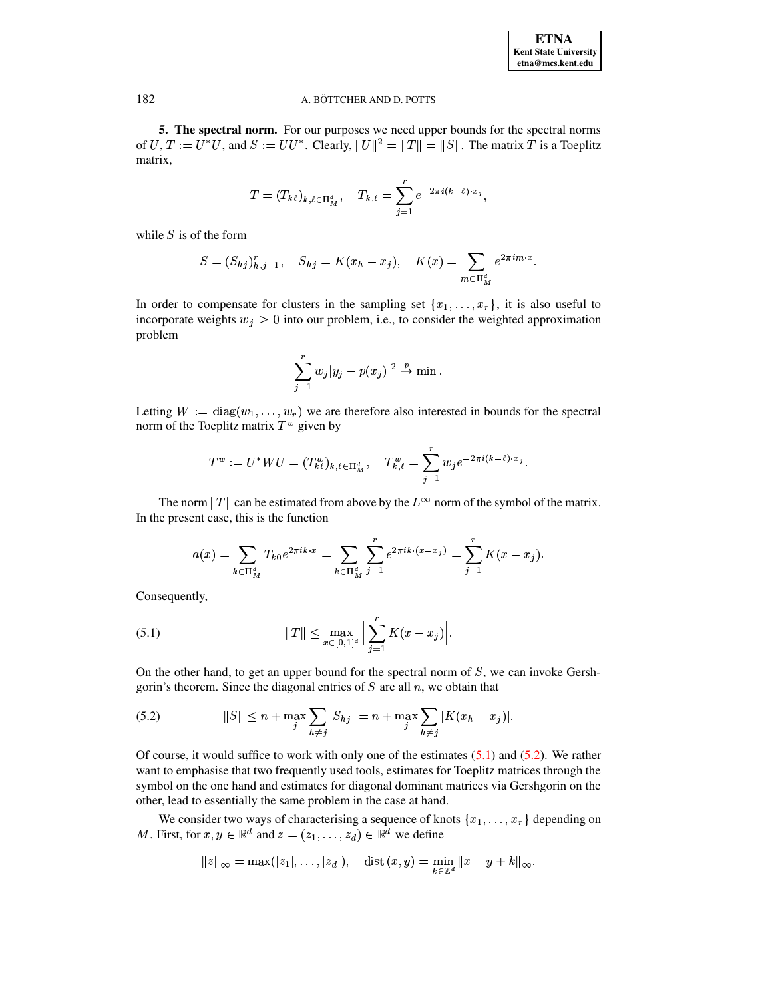5. The spectral norm. For our purposes we need upper bounds for the spectral norms of U,  $T := U^*U$ , and  $S := UU^*$ . Clearly,  $||U||^2 = ||T|| = ||S||$ . The matrix T is a Toeplitz matrix,

$$
T = (T_{k\ell})_{k,\ell \in \Pi_M^d}, \quad T_{k,\ell} = \sum_{j=1}^r e^{-2\pi i (k-\ell) \cdot x_j},
$$

while  $S$  is of the form

$$
S = (S_{hj})_{h,j=1}^r, \quad S_{hj} = K(x_h - x_j), \quad K(x) = \sum_{m \in \Pi_M^d} e^{2\pi i m \cdot x}.
$$

In order to compensate for clusters in the sampling set  $\{x_1, \ldots, x_r\}$ , it is also useful to incorporate weights  $w_j > 0$  into our problem, i.e., to consider the weighted approximation problem

$$
\sum_{j=1}^r w_j |y_j - p(x_j)|^2 \overset{p}{\to} \min.
$$

Letting  $W := diag(w_1, \ldots, w_r)$  we are therefore also interested in bounds for the spectral norm of the Toeplitz matrix  $T^w$  given by

$$
T^w := U^* W U = (T_{k\ell}^w)_{k,\ell \in \Pi_M^d}, \quad T_{k,\ell}^w = \sum_{j=1}^r w_j e^{-2\pi i (k-\ell) \cdot x_j}.
$$

The norm  $||T||$  can be estimated from above by the  $L^{\infty}$  norm of the symbol of the matrix. In the present case, this is the function

$$
a(x) = \sum_{k \in \Pi_M^d} T_{k0} e^{2\pi i k \cdot x} = \sum_{k \in \Pi_M^d} \sum_{j=1}^r e^{2\pi i k \cdot (x - x_j)} = \sum_{j=1}^r K(x - x_j).
$$

Consequently,

<span id="page-4-0"></span>(5.1) 
$$
||T|| \leq \max_{x \in [0,1]^d} \Big| \sum_{j=1}^r K(x - x_j) \Big|.
$$

On the other hand, to get an upper bound for the spectral norm of  $S$ , we can invoke Gershgorin's theorem. Since the diagonal entries of  $S$  are all  $n$ , we obtain that

<span id="page-4-1"></span>(5.2) 
$$
||S|| \le n + \max_{j} \sum_{h \ne j} |S_{hj}| = n + \max_{j} \sum_{h \ne j} |K(x_h - x_j)|.
$$

Of course, it would suffice to work with only one of the estimates  $(5.1)$  and  $(5.2)$ . We rather want to emphasise that two frequently used tools, estimates for Toeplitz matrices through the symbol on the one hand and estimates for diagonal dominant matrices via Gershgorin on the other, lead to essentially the same problem in the case at hand.

We consider two ways of characterising a sequence of knots  $\{x_1, \ldots, x_r\}$  depending on M. First, for  $x, y \in \mathbb{R}^d$  and  $z = (z_1, \ldots, z_d) \in \mathbb{R}^d$  we define

$$
||z||_{\infty} = \max(|z_1|, \ldots, |z_d|), \quad \text{dist}(x, y) = \min_{k \in \mathbb{Z}^d} ||x - y + k||_{\infty}
$$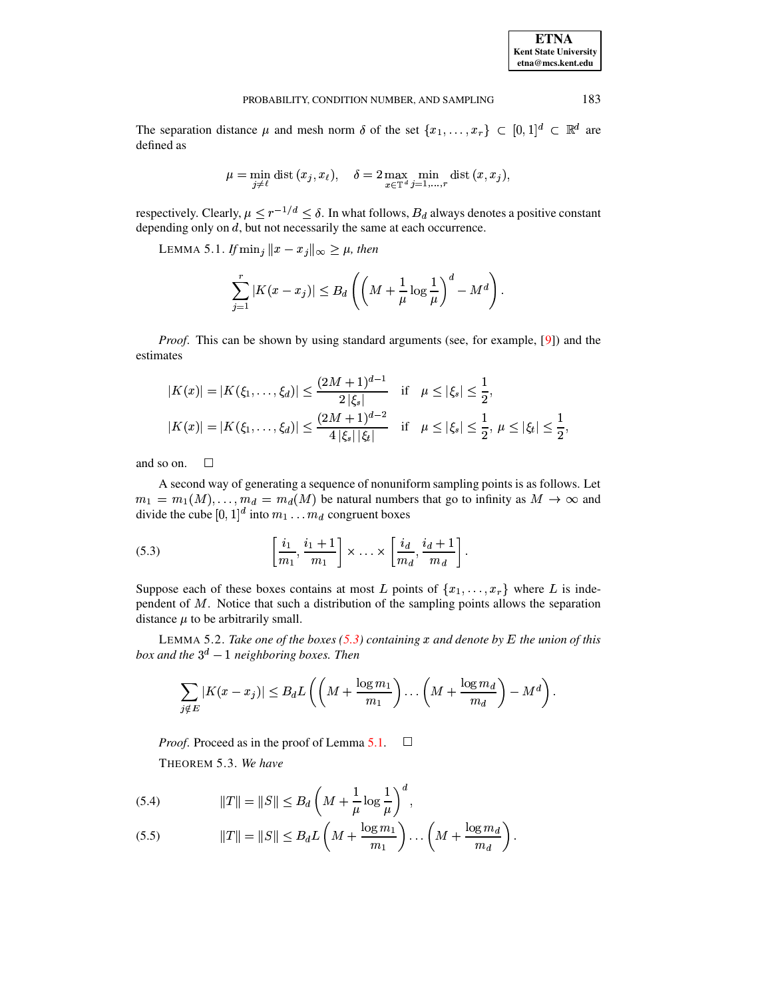**ETNA Kent State University**  $etna@mcs. kent.edu$ 

#### PROBABILITY, CONDITION NUMBER, AND SAMPLING

The separation distance  $\mu$  and mesh norm  $\delta$  of the set  $\{x_1, \ldots, x_r\} \subset [0,1]^d \subset \mathbb{R}^d$  are defined as

$$
\mu=\min_{j\neq \ell} \text{dist}\,(x_j,x_\ell),\quad \delta=2\max_{x\in\mathbb{T}^d}\min_{j=1,...,r} \text{dist}\,(x,x_j),
$$

<span id="page-5-1"></span>respectively. Clearly,  $\mu \leq r^{-1/d} \leq \delta$ . In what follows,  $B_d$  always denotes a positive constant depending only on  $d$ , but not necessarily the same at each occurrence.

LEMMA 5.1. If  $\min_j ||x - x_j||_{\infty} \ge \mu$ , then

$$
\sum_{j=1}^r |K(x-x_j)| \leq B_d \left( \left(M + \frac{1}{\mu} \log \frac{1}{\mu}\right)^d - M^d \right).
$$

*Proof.* This can be shown by using standard arguments (see, for example, [9]) and the estimates

$$
|K(x)| = |K(\xi_1, ..., \xi_d)| \le \frac{(2M+1)^{d-1}}{2|\xi_s|} \quad \text{if} \quad \mu \le |\xi_s| \le \frac{1}{2},
$$
  

$$
|K(x)| = |K(\xi_1, ..., \xi_d)| \le \frac{(2M+1)^{d-2}}{4|\xi_s||\xi_t|} \quad \text{if} \quad \mu \le |\xi_s| \le \frac{1}{2}, \ \mu \le |\xi_t| \le \frac{1}{2},
$$

and so on.  $\Box$ 

A second way of generating a sequence of nonuniform sampling points is as follows. Let  $m_1 = m_1(M), \ldots, m_d = m_d(M)$  be natural numbers that go to infinity as  $M \to \infty$  and divide the cube  $[0, 1]^d$  into  $m_1 \dots m_d$  congruent boxes

<span id="page-5-0"></span>(5.3) 
$$
\left[\frac{i_1}{m_1}, \frac{i_1+1}{m_1}\right] \times \ldots \times \left[\frac{i_d}{m_d}, \frac{i_d+1}{m_d}\right].
$$

Suppose each of these boxes contains at most L points of  $\{x_1, \ldots, x_r\}$  where L is independent of  $M$ . Notice that such a distribution of the sampling points allows the separation distance  $\mu$  to be arbitrarily small.

<span id="page-5-3"></span>LEMMA 5.2. Take one of the boxes (5.3) containing x and denote by E the union of this box and the  $3^d - 1$  neighboring boxes. Then

$$
\sum_{j \notin E} |K(x - x_j)| \leq B_d L \left( \left( M + \frac{\log m_1}{m_1} \right) \dots \left( M + \frac{\log m_d}{m_d} \right) - M^d \right).
$$

*Proof.* Proceed as in the proof of Lemma 5.1.  $\Box$ THEOREM 5.3. We have

<span id="page-5-2"></span>(5.4) 
$$
||T|| = ||S|| \leq B_d \left( M + \frac{1}{\mu} \log \frac{1}{\mu} \right)^d,
$$

$$
(5.5) \t\t\t ||T|| = ||S|| \leq B_d L \left( M + \frac{\log m_1}{m_1} \right) \dots \left( M + \frac{\log m_d}{m_d} \right).
$$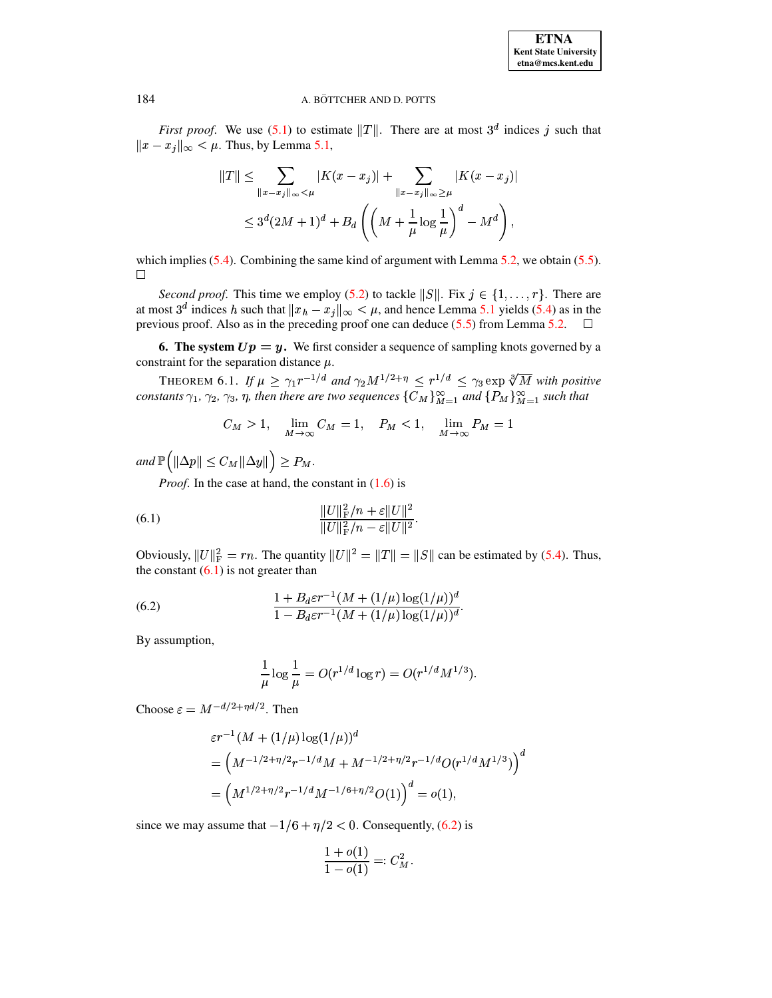*First proof.* We use (5.1) to estimate ||T||. There are at most  $3^d$  indices j such that  $||x - x_j||_{\infty} < \mu$ . Thus, by Lemma 5.1,

$$
||T|| \leq \sum_{||x-x_j||_{\infty} < \mu} |K(x-x_j)| + \sum_{||x-x_j||_{\infty} \geq \mu} |K(x-x_j)|
$$
  

$$
\leq 3^d (2M+1)^d + B_d \left( \left(M + \frac{1}{\mu} \log \frac{1}{\mu}\right)^d - M^d \right),
$$

which implies  $(5.4)$ . Combining the same kind of argument with Lemma 5.2, we obtain  $(5.5)$ .  $\Box$ 

Second proof. This time we employ (5.2) to tackle ||S||. Fix  $j \in \{1, ..., r\}$ . There are at most  $3^d$  indices h such that  $||x_h - x_j||_{\infty} < \mu$ , and hence Lemma 5.1 yields (5.4) as in the previous proof. Also as in the preceding proof one can deduce  $(5.5)$  from Lemma 5.2.  $\Box$ 

6. The system  $Up = y$ . We first consider a sequence of sampling knots governed by a constraint for the separation distance  $\mu$ .

<span id="page-6-2"></span>THEOREM 6.1. If  $\mu \geq \gamma_1 r^{-1/d}$  and  $\gamma_2 M^{1/2+\eta} \leq r^{1/d} \leq \gamma_3 \exp \sqrt[3]{M}$  with positive constants  $\gamma_1$ ,  $\gamma_2$ ,  $\gamma_3$ ,  $\eta$ , then there are two sequences  $\{C_M\}_{M=1}^{\infty}$  and  $\{P_M\}_{M=1}^{\infty}$  such that

$$
C_M > 1, \quad \lim_{M \to \infty} C_M = 1, \quad P_M < 1, \quad \lim_{M \to \infty} P_M = 1
$$

and  $\mathbb{P}(|\Delta p| \leq C_M ||\Delta y||) \geq P_M$ .

<span id="page-6-0"></span>*Proof.* In the case at hand, the constant in  $(1.6)$  is

(6.1) 
$$
\frac{\|U\|_{\mathrm{F}}^2/n + \varepsilon \|U\|^2}{\|U\|_{\mathrm{F}}^2/n - \varepsilon \|U\|^2}
$$

Obviously,  $||U||_F^2 = rn$ . The quantity  $||U||^2 = ||T|| = ||S||$  can be estimated by (5.4). Thus, the constant  $(6.1)$  is not greater than

<span id="page-6-1"></span>(6.2) 
$$
\frac{1 + B_d \varepsilon r^{-1} (M + (1/\mu) \log(1/\mu))^d}{1 - B_d \varepsilon r^{-1} (M + (1/\mu) \log(1/\mu))^d}.
$$

By assumption,

$$
\frac{1}{\mu} \log \frac{1}{\mu} = O(r^{1/d} \log r) = O(r^{1/d} M^{1/3}).
$$

Choose  $\varepsilon = M^{-d/2 + \eta d/2}$ . Then

$$
\varepsilon r^{-1} (M + (1/\mu) \log(1/\mu))^d
$$
  
=  $\left( M^{-1/2 + \eta/2} r^{-1/d} M + M^{-1/2 + \eta/2} r^{-1/d} O(r^{1/d} M^{1/3}) \right)^d$   
=  $\left( M^{1/2 + \eta/2} r^{-1/d} M^{-1/6 + \eta/2} O(1) \right)^d = o(1),$ 

since we may assume that  $-1/6 + \eta/2 < 0$ . Consequently, (6.2) is

$$
\frac{1 + o(1)}{1 - o(1)} =: C_M^2
$$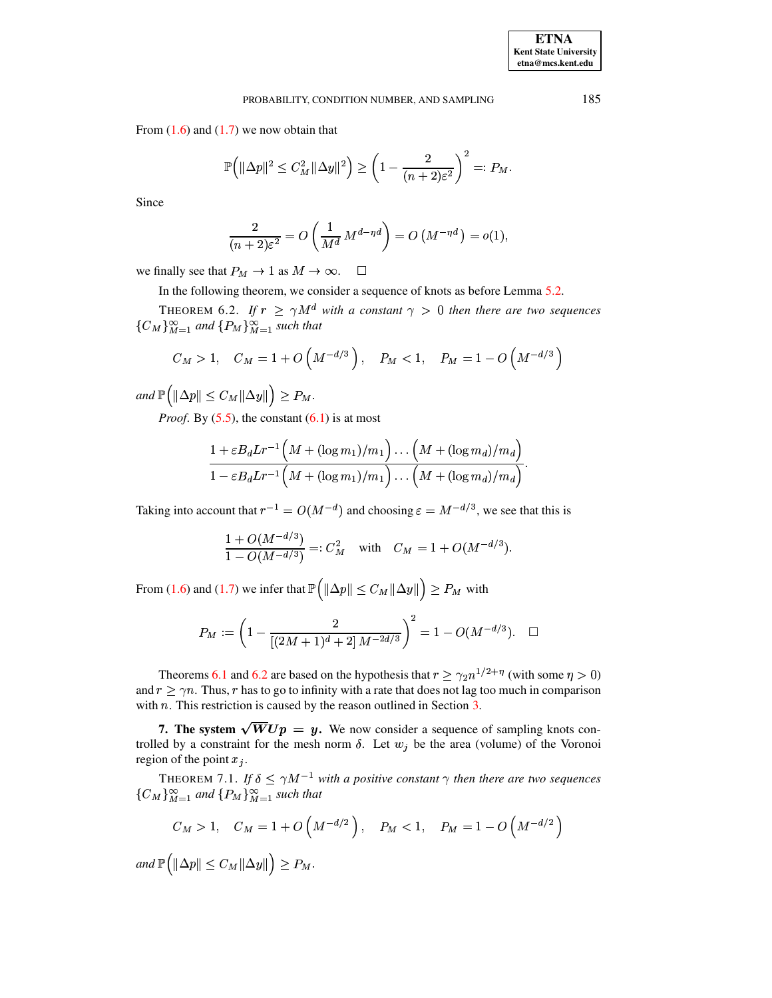From  $(1.6)$  and  $(1.7)$  we now obtain that

$$
\mathbb{P}\Big(\|\Delta p\|^2 \leq C_M^2 \|\Delta y\|^2\Big) \geq \left(1 - \frac{2}{(n+2)\varepsilon^2}\right)^2 =: P_M.
$$

Since

$$
\frac{2}{(n+2)\varepsilon^2} = O\left(\frac{1}{M^d} M^{d-\eta d}\right) = O\left(M^{-\eta d}\right) = o(1),
$$

we finally see that  $P_M \to 1$  as  $M \to \infty$ .  $\Box$ 

In the following theorem, we consider a sequence of knots as before Lemma 5.2.

<span id="page-7-0"></span>THEOREM 6.2. If  $r \geq \gamma M^d$  with a constant  $\gamma > 0$  then there are two sequences  ${C_M}_{M=1}^{\infty}$  and  ${P_M}_{M=1}^{\infty}$  such that

$$
C_M > 1
$$
,  $C_M = 1 + O\left(M^{-d/3}\right)$ ,  $P_M < 1$ ,  $P_M = 1 - O\left(M^{-d/3}\right)$ 

and  $\mathbb{P}(|\Delta p| \leq C_M ||\Delta y||) \geq P_M$ .

*Proof.* By  $(5.5)$ , the constant  $(6.1)$  is at most

$$
\frac{1 + \varepsilon B_d L r^{-1} \left( M + (\log m_1)/m_1 \right) \dots \left( M + (\log m_d)/m_d \right)}{1 - \varepsilon B_d L r^{-1} \left( M + (\log m_1)/m_1 \right) \dots \left( M + (\log m_d)/m_d \right)}
$$

Taking into account that  $r^{-1} = O(M^{-d})$  and choosing  $\varepsilon = M^{-d/3}$ , we see that this is

$$
\frac{1 + O(M^{-d/3})}{1 - O(M^{-d/3})} =: C_M^2 \quad \text{with} \quad C_M = 1 + O(M^{-d/3}).
$$

From (1.6) and (1.7) we infer that  $\mathbb{P}\left(\|\Delta p\| \leq C_M \|\Delta y\|\right) \geq P_M$  with

$$
P_M:=\left(1-\frac{2}{[(2M+1)^d+2]\,M^{-2d/3}}\right)^2=1-O(M^{-d/3}).\quad \Box
$$

Theorems 6.1 and 6.2 are based on the hypothesis that  $r \geq \gamma_2 n^{1/2 + \eta}$  (with some  $\eta > 0$ ) and  $r \ge \gamma n$ . Thus, r has to go to infinity with a rate that does not lag too much in comparison with  $n$ . This restriction is caused by the reason outlined in Section  $3$ .

7. The system  $\sqrt{W}Up = y$ . We now consider a sequence of sampling knots controlled by a constraint for the mesh norm  $\delta$ . Let  $w_j$  be the area (volume) of the Voronoi region of the point  $x_j$ .

<span id="page-7-1"></span>THEOREM 7.1. If  $\delta \le \gamma M^{-1}$  with a positive constant  $\gamma$  then there are two sequences  ${C_M}_{M=1}^{\infty}$  and  ${P_M}_{M=1}^{\infty}$  such that

$$
C_M > 1, \quad C_M = 1 + O\left(M^{-d/2}\right), \quad P_M < 1, \quad P_M = 1 - O\left(M^{-d/2}\right)
$$

and  $\mathbb{P}(|\Delta p| \leq C_M ||\Delta y||) \geq P_M$ .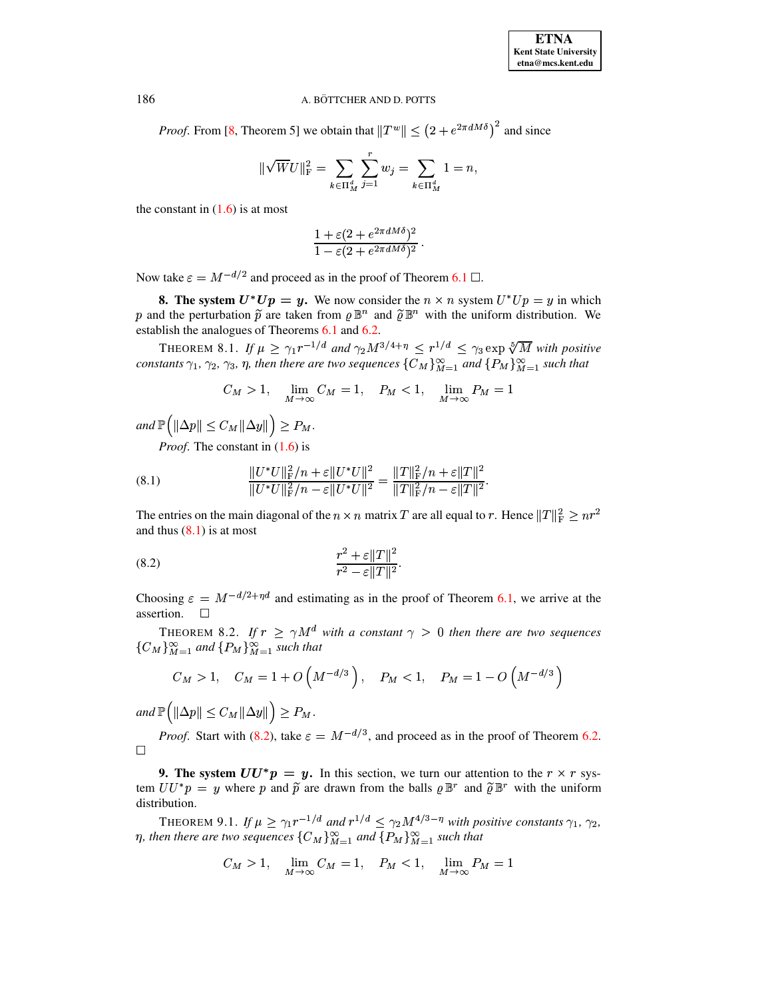*Proof.* From [8, Theorem 5] we obtain that  $||T^w|| \le (2 + e^{2\pi dM\delta})^2$  and since

$$
\|\sqrt{W}U\|_{\mathrm{F}}^2=\sum_{k\in\Pi_{M}^{d}}\sum_{j=1}^{r}w_j=\sum_{k\in\Pi_{M}^{d}}1=n
$$

the constant in  $(1.6)$  is at most

$$
\frac{1+\varepsilon(2+e^{2\pi dM\delta})^2}{1-\varepsilon(2+e^{2\pi dM\delta})^2}.
$$

Now take  $\varepsilon = M^{-d/2}$  and proceed as in the proof of Theorem 6.1  $\Box$ .

**8.** The system  $U^*Up = y$ . We now consider the  $n \times n$  system  $U^*Up = y$  in which p and the perturbation  $\tilde{p}$  are taken from  $\rho \mathbb{B}^n$  and  $\tilde{\rho} \mathbb{B}^n$  with the uniform distribution. We establish the analogues of Theorems 6.1 and 6.2.

THEOREM 8.1. If  $\mu \geq \gamma_1 r^{-1/d}$  and  $\gamma_2 M^{3/4+\eta} \leq r^{1/d} \leq \gamma_3 \exp \sqrt[5]{M}$  with positive constants  $\gamma_1$ ,  $\gamma_2$ ,  $\gamma_3$ ,  $\eta$ , then there are two sequences  $\{C_M\}_{M=1}^{\infty}$  and  $\{P_M\}_{M=1}^{\infty}$  such that

$$
C_M > 1, \quad \lim_{M \to \infty} C_M = 1, \quad P_M < 1, \quad \lim_{M \to \infty} P_M = 1
$$

and  $\mathbb{P}(|\Delta p| \leq C_M ||\Delta y||) \geq P_M$ .

*Proof.* The constant in  $(1.6)$  is

<span id="page-8-0"></span>(8.1) 
$$
\frac{\|U^*U\|_{\mathrm{F}}^2/n + \varepsilon\|U^*U\|^2}{\|U^*U\|_{\mathrm{F}}^2/n - \varepsilon\|U^*U\|^2} = \frac{\|T\|_{\mathrm{F}}^2/n + \varepsilon\|T\|^2}{\|T\|_{\mathrm{F}}^2/n - \varepsilon\|T\|^2}.
$$

The entries on the main diagonal of the  $n \times n$  matrix T are all equal to r. Hence  $||T||_F^2 \geq nr^2$ and thus  $(8.1)$  is at most

<span id="page-8-1"></span>(8.2) 
$$
\frac{r^2 + \varepsilon ||T||^2}{r^2 - \varepsilon ||T||^2}.
$$

Choosing  $\varepsilon = M^{-d/2 + \eta d}$  and estimating as in the proof of Theorem 6.1, we arrive at the assertion.  $\Box$ 

THEOREM 8.2. If  $r \ge \gamma M^d$  with a constant  $\gamma > 0$  then there are two sequences  ${C_M}_{M=1}^{\infty}$  and  ${P_M}_{M=1}^{\infty}$  such that

$$
C_M > 1
$$
,  $C_M = 1 + O\left(M^{-d/3}\right)$ ,  $P_M < 1$ ,  $P_M = 1 - O\left(M^{-d/3}\right)$ 

and  $\mathbb{P}(|\Delta p|| \leq C_M ||\Delta y||) \geq P_M$ .

*Proof.* Start with (8.2), take  $\varepsilon = M^{-d/3}$ , and proceed as in the proof of Theorem 6.2.  $\Box$ 

**9. The system**  $UU^*p = y$ **.** In this section, we turn our attention to the  $r \times r$  system  $UU^*p = y$  where p and  $\tilde{p}$  are drawn from the balls  $\rho \mathbb{B}^r$  and  $\tilde{\rho} \mathbb{B}^r$  with the uniform distribution.

THEOREM 9.1. If  $\mu \geq \gamma_1 r^{-1/d}$  and  $r^{1/d} \leq \gamma_2 M^{4/3-\eta}$  with positive constants  $\gamma_1$ ,  $\gamma_2$ ,  $\eta$ , then there are two sequences  $\{C_M\}_{M=1}^{\infty}$  and  $\{P_M\}_{M=1}^{\infty}$  such that

$$
C_M > 1, \quad \lim_{M \to \infty} C_M = 1, \quad P_M < 1, \quad \lim_{M \to \infty} P_M = 1
$$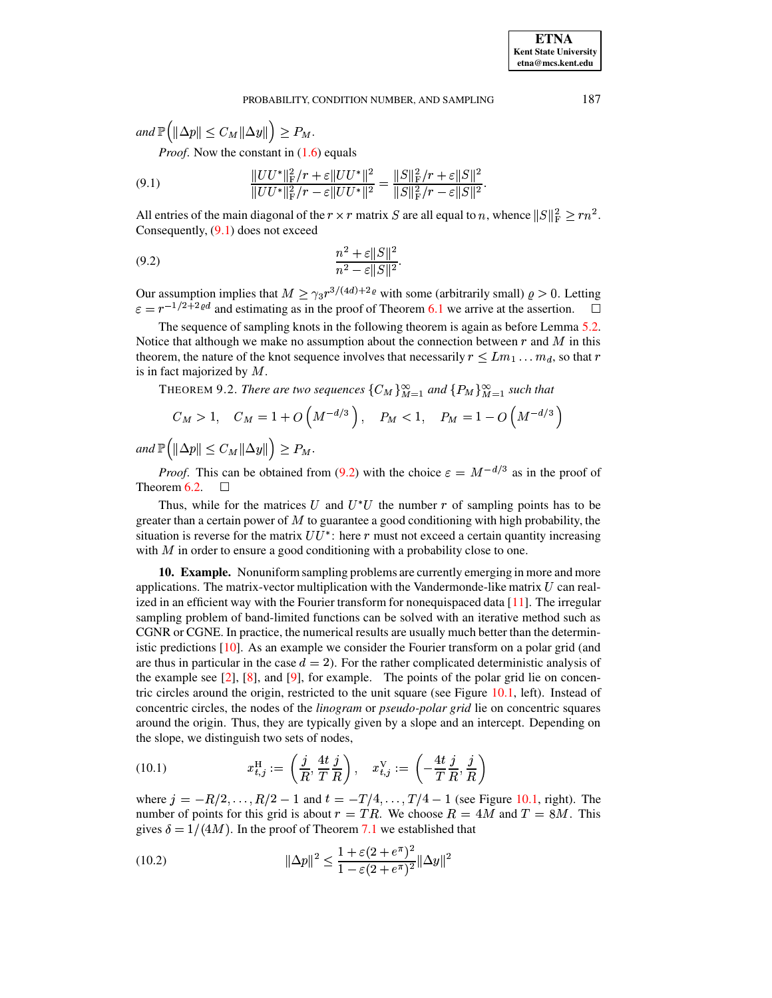*and*  $\mathbb{P}\left(\left\Vert \Delta p\right\Vert \leq C_M \|\Delta y\|\right) \geq P_M$ .

*Proof.* Now the constant in  $(1.6)$  equals

<span id="page-9-0"></span>(9.1) 
$$
\frac{\|UU^*\|_F^2/r + \varepsilon \|UU^*\|^2}{\|UU^*\|_F^2/r - \varepsilon \|UU^*\|^2} = \frac{\|S\|_F^2/r + \varepsilon \|S\|^2}{\|S\|_F^2/r - \varepsilon \|S\|^2}.
$$

All entries of the main diagonal of the  $r \times r$  matrix S are all equal to n, whence  $||S||_F^2 \geq rn^2$ . Consequently, [\(9.1\)](#page-9-0) does not exceed

<span id="page-9-1"></span>
$$
(9.2) \qquad \qquad \frac{n^2 + \varepsilon ||S||^2}{n^2 - \varepsilon ||S||^2}.
$$

Our assumption implies that  $M \geq \gamma_3 r^{3/(4d)+2\varrho}$  with some (arbitrarily small)  $\varrho > 0$ . Letting  $\varepsilon = r^{-1/2+2\varrho d}$  and estimating as in the proof of Theorem [6.1](#page-6-2) we arrive at the assertion.  $\Box$ 

The sequence of sampling knots in the following theorem is again as before Lemma [5.2.](#page-5-3) Notice that although we make no assumption about the connection between  $r$  and  $\overline{M}$  in this theorem, the nature of the knot sequence involves that necessarily  $r \leq Lm_1 \dots m_d$ , so that  $r$ is in fact majorized by  $M$ .

**THEOREM 9.2.** *There are two sequences*  $\{C_M\}_{M=1}^{\infty}$  and  $\{P_M\}_{M=1}^{\infty}$  such that

$$
C_M > 1
$$
,  $C_M = 1 + O(M^{-d/3})$ ,  $P_M < 1$ ,  $P_M = 1 - O(M^{-d/3})$ 

 $and \mathbb{P}(\|\Delta p\| \leq C_M \|\Delta y\|) \geq P_M.$ 

*Proof.* This can be obtained from [\(9.2\)](#page-9-1) with the choice  $\varepsilon = M^{-d/3}$  as in the proof of Theorem  $6.2$ .  $\Box$ 

Thus, while for the matrices U and  $U^*U$  the number r of sampling points has to be greater than a certain power of  $M$  to guarantee a good conditioning with high probability, the situation is reverse for the matrix  $UU^*$ : here r must not exceed a certain quantity increasing with  $M$  in order to ensure a good conditioning with a probability close to one.

**10. Example.** Nonuniformsampling problems are currently emerging in more and more applications. The matrix-vector multiplication with the Vandermonde-like matrix  $U$  can realized in an efficient way with the Fourier transform for nonequispaced data [\[11\]](#page-11-11). The irregular sampling problem of band-limited functions can be solved with an iterative method such as CGNR or CGNE. In practice, the numerical results are usually much better than the deterministic predictions [\[10\]](#page-11-12). As an example we consider the Fourier transform on a polar grid (and are thus in particular in the case  $d = 2$ ). For the rather complicated deterministic analysis of the example see [\[2\]](#page-11-8), [\[8\]](#page-11-10), and [\[9\]](#page-11-9), for example. The points of the polar grid lie on concentric circles around the origin, restricted to the unit square (see Figure [10.1,](#page-10-0) left). Instead of concentric circles, the nodes of the *linogram* or *pseudo-polar grid* lie on concentric squares around the origin. Thus, they are typically given by a slope and an intercept. Depending on the slope, we distinguish two sets of nodes,

(10.1) 
$$
x_{t,j}^{\text{H}} := \left(\frac{j}{R}, \frac{4t}{T}\frac{j}{R}\right), \quad x_{t,j}^{\text{V}} := \left(-\frac{4t}{T}\frac{j}{R}, \frac{j}{R}\right)
$$

where  $j = -R/2, ..., R/2 - 1$  and  $t = -T/4, ..., T/4 - 1$  (see Figure [10.1,](#page-10-0) right). The number of points for this grid is about  $r = TR$ . We choose  $R = 4M$  and  $T = 8M$ . This gives  $\delta = 1/(4M)$ . In the proof of Theorem [7.1](#page-7-1) we established that

<span id="page-9-2"></span>(10.2) 
$$
\|\Delta p\|^2 \le \frac{1 + \varepsilon (2 + e^{\pi})^2}{1 - \varepsilon (2 + e^{\pi})^2} \|\Delta y\|^2
$$

**ETNA Kent State University etna@mcs.kent.edu**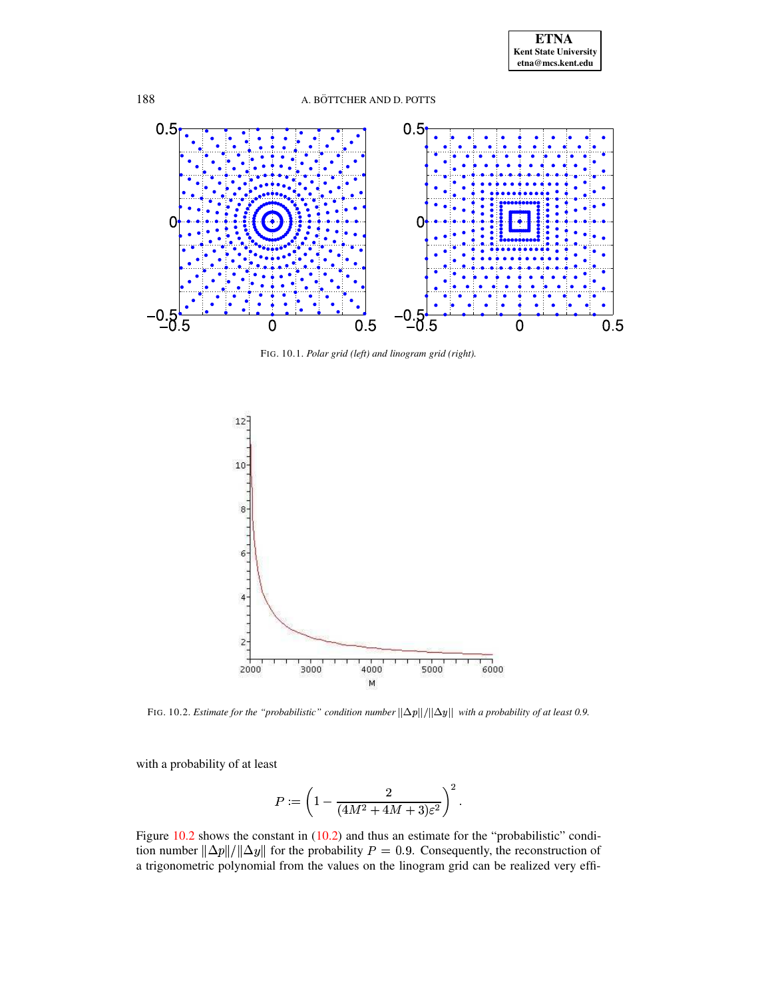



FIG. 10.1. Polar grid (left) and linogram grid (right).

<span id="page-10-0"></span>

<span id="page-10-1"></span>FIG. 10.2. Estimate for the "probabilistic" condition number  $\|\Delta p\|/\|\Delta y\|$  with a probability of at least 0.9.

with a probability of at least

$$
P:=\left(1-\frac{2}{(4M^2+4M+3)\varepsilon^2}\right)^2.
$$

Figure  $10.2$  shows the constant in  $(10.2)$  and thus an estimate for the "probabilistic" condition number  $\|\Delta p\|/\|\Delta y\|$  for the probability  $P = 0.9$ . Consequently, the reconstruction of a trigonometric polynomial from the values on the linogram grid can be realized very effi-